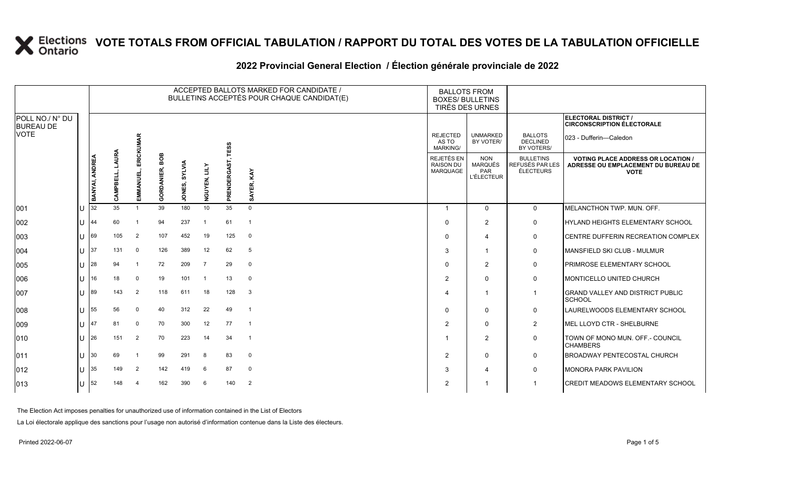|                                     |    |                |      |                |                   |                         |                |              | ACCEPTED BALLOTS MARKED FOR CANDIDATE /<br>BULLETINS ACCEPTÉS POUR CHAQUE CANDIDAT(E) |                                                   | <b>BALLOTS FROM</b><br><b>BOXES/ BULLETINS</b><br>TIRÉS DES URNES |                                                         |                                                                                                 |
|-------------------------------------|----|----------------|------|----------------|-------------------|-------------------------|----------------|--------------|---------------------------------------------------------------------------------------|---------------------------------------------------|-------------------------------------------------------------------|---------------------------------------------------------|-------------------------------------------------------------------------------------------------|
| POLL NO./ N° DU<br><b>BUREAU DE</b> |    |                |      |                |                   |                         |                |              |                                                                                       |                                                   |                                                                   |                                                         | ELECTORAL DISTRICT /<br><b>CIRCONSCRIPTION ÉLECTORALE</b>                                       |
| <b>VOTE</b>                         |    |                |      | ERICKUMAR      |                   |                         |                | TESS         |                                                                                       | <b>REJECTED</b><br>AS TO<br><b>MARKING/</b>       | <b>UNMARKED</b><br>BY VOTER/                                      | <b>BALLOTS</b><br><b>DECLINED</b><br>BY VOTERS/         | 023 - Dufferin—Caledon                                                                          |
|                                     |    | BANYAI, ANDREA | AURA | EMMANUEL,      | BOB<br>GORDANIER, | <b>SYLVIA</b><br>JONES, | ZIL<br>NGUYEN, | PRENDERGAST, | KAY<br>AYER,<br>võ.                                                                   | REJETÉS EN<br><b>RAISON DU</b><br><b>MARQUAGE</b> | <b>NON</b><br>MARQUÉS<br>PAR<br><b>L'ÉLECTEUR</b>                 | <b>BULLETINS</b><br>REFUSÉS PAR LES<br><b>ÉLECTEURS</b> | <b>VOTING PLACE ADDRESS OR LOCATION /</b><br>ADRESSE OU EMPLACEMENT DU BUREAU DE<br><b>VOTE</b> |
| 001                                 | IU | 32             | 35   |                | 39                | 180                     | 10             | 35           | $\Omega$                                                                              | -1                                                | $\Omega$                                                          | $\mathbf{0}$                                            | MELANCTHON TWP, MUN, OFF.                                                                       |
| 002                                 | IU | 44             | 60   |                | 94                | 237                     |                | 61           | $\overline{1}$                                                                        | $\Omega$                                          | $\overline{2}$                                                    | $\mathbf 0$                                             | HYLAND HEIGHTS ELEMENTARY SCHOOL                                                                |
| 003                                 | IU | 69             | 105  | 2              | 107               | 452                     | 19             | 125          | $\mathbf 0$                                                                           | $\Omega$                                          | $\overline{4}$                                                    | 0                                                       | CENTRE DUFFERIN RECREATION COMPLEX                                                              |
| 004                                 | IU | 37             | 131  | 0              | 126               | 389                     | 12             | 62           | 5                                                                                     | 3                                                 |                                                                   | 0                                                       | MANSFIELD SKI CLUB - MULMUR                                                                     |
| 005                                 | IU | 28             | 94   | -1             | 72                | 209                     | $\overline{7}$ | 29           | $\mathbf 0$                                                                           | $\Omega$                                          | $\overline{2}$                                                    | 0                                                       | <b>PRIMROSE ELEMENTARY SCHOOL</b>                                                               |
| 006                                 | IU | 16             | 18   | $\mathbf 0$    | 19                | 101                     |                | 13           | 0                                                                                     | $\overline{2}$                                    | $\Omega$                                                          | 0                                                       | <b>MONTICELLO UNITED CHURCH</b>                                                                 |
| 007                                 | ПT | 89             | 143  | 2              | 118               | 611                     | 18             | 128          | 3                                                                                     | 4                                                 |                                                                   | $\overline{1}$                                          | <b>GRAND VALLEY AND DISTRICT PUBLIC</b><br><b>SCHOOL</b>                                        |
| 008                                 | IU | 55             | 56   | $\mathbf 0$    | 40                | 312                     | 22             | 49           | -1                                                                                    | $\Omega$                                          | $\mathbf 0$                                                       | 0                                                       | LAURELWOODS ELEMENTARY SCHOOL                                                                   |
| 009                                 | IU | 147            | 81   | 0              | 70                | 300                     | 12             | 77           | $\overline{1}$                                                                        | 2                                                 | $\Omega$                                                          | $\overline{2}$                                          | MEL LLOYD CTR - SHELBURNE                                                                       |
| 010                                 | IU | 26             | 151  | 2              | 70                | 223                     | 14             | 34           | -1                                                                                    |                                                   | $\overline{2}$                                                    | 0                                                       | TOWN OF MONO MUN. OFF.- COUNCIL<br><b>CHAMBERS</b>                                              |
| 011                                 | IU | 30             | 69   |                | 99                | 291                     | 8              | 83           | $\mathbf 0$                                                                           | $\overline{2}$                                    | $\mathbf 0$                                                       | 0                                                       | <b>BROADWAY PENTECOSTAL CHURCH</b>                                                              |
| 012                                 | Ш  | 35             | 149  | $\overline{2}$ | 142               | 419                     | 6              | 87           | $\mathbf 0$                                                                           | 3                                                 | $\overline{4}$                                                    | 0                                                       | <b>MONORA PARK PAVILION</b>                                                                     |
| 013                                 | ΙU | 52             | 148  | $\overline{4}$ | 162               | 390                     | 6              | 140          | 2                                                                                     | 2                                                 |                                                                   | -1                                                      | <b>CREDIT MEADOWS ELEMENTARY SCHOOL</b>                                                         |

#### 2022 Provincial General Election / Election générale provinciale de 2022

The Election Act imposes penalties for unauthorized use of information contained in the List of Electors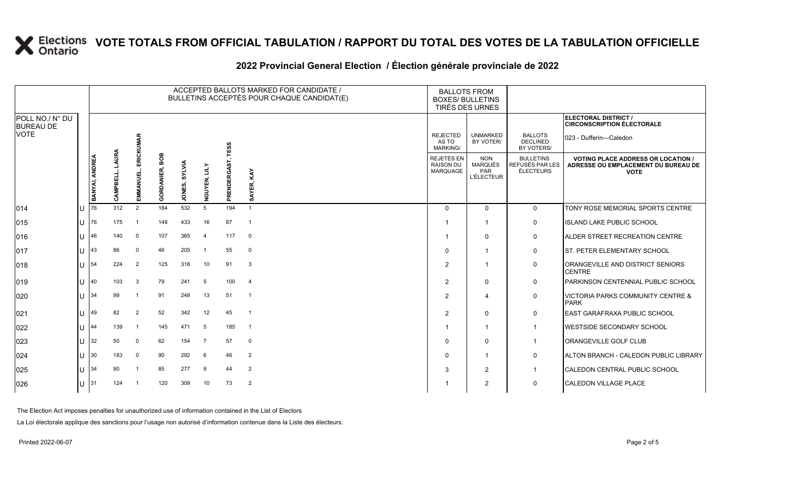|                                     |            |                |      |                         |                          |                         |                |              | ACCEPTED BALLOTS MARKED FOR CANDIDATE /<br>BULLETINS ACCEPTÉS POUR CHAQUE CANDIDAT(E) | <b>BALLOTS FROM</b><br><b>BOXES/ BULLETINS</b>    | TIRÉS DES URNES                                          |                                                         |                                                                                                 |  |
|-------------------------------------|------------|----------------|------|-------------------------|--------------------------|-------------------------|----------------|--------------|---------------------------------------------------------------------------------------|---------------------------------------------------|----------------------------------------------------------|---------------------------------------------------------|-------------------------------------------------------------------------------------------------|--|
| POLL NO./ N° DU<br><b>BUREAU DE</b> |            |                |      |                         |                          |                         |                |              |                                                                                       |                                                   |                                                          |                                                         | ELECTORAL DISTRICT /<br><b>CIRCONSCRIPTION ÉLECTORALE</b>                                       |  |
| VOTE                                |            |                |      | ERICKUMAR               |                          |                         |                | <b>TESS</b>  |                                                                                       | <b>REJECTED</b><br>AS TO<br><b>MARKING/</b>       | <b>UNMARKED</b><br>BY VOTER/                             | <b>BALLOTS</b><br><b>DECLINED</b><br>BY VOTERS/         | 023 - Dufferin-Caledon                                                                          |  |
|                                     |            | BANYAI, ANDREA | AJRA | EMMANUEL,               | BOB<br><b>GORDANIER,</b> | <b>SYLVIA</b><br>JONES, | ZП<br>NGUYEN,  | PRENDERGAST, | KAY<br>SAYER,                                                                         | REJETÉS EN<br><b>RAISON DU</b><br><b>MARQUAGE</b> | <b>NON</b><br><b>MARQUÉS</b><br>PAR<br><b>L'ÉLECTEUR</b> | <b>BULLETINS</b><br>REFUSÉS PAR LES<br><b>ÉLECTEURS</b> | <b>VOTING PLACE ADDRESS OR LOCATION /</b><br>ADRESSE OU EMPLACEMENT DU BUREAU DE<br><b>VOTE</b> |  |
| 014                                 | IU.        | 176            | 312  | 2                       | 184                      | 532                     | 5              | 194          | $\overline{1}$                                                                        | $\Omega$                                          | $\Omega$                                                 | $\mathbf{0}$                                            | TONY ROSE MEMORIAL SPORTS CENTRE                                                                |  |
| 015                                 | ПT         | 176            | 175  |                         | 148                      | 433                     | 16             | 87           | $\overline{1}$                                                                        |                                                   | $\mathbf{1}$                                             | $\mathbf 0$                                             | <b>ISLAND LAKE PUBLIC SCHOOL</b>                                                                |  |
| 016                                 | ПJ         | 46             | 140  | $\mathbf 0$             | 107                      | 365                     | $\overline{4}$ | 117          | $\mathbf 0$                                                                           |                                                   | $\Omega$                                                 | 0                                                       | <b>ALDER STREET RECREATION CENTRE</b>                                                           |  |
| 017                                 | IU         | 143            | 86   | $\mathbf 0$             | 46                       | 205                     |                | 55           | $\mathbf 0$                                                                           | $\Omega$                                          | $\mathbf{1}$                                             | 0                                                       | <b>ST. PETER ELEMENTARY SCHOOL</b>                                                              |  |
| 018                                 | IU         | 54             | 224  | 2                       | 125                      | 318                     | 10             | 91           | 3                                                                                     | $\overline{2}$                                    | -1                                                       | $\mathbf 0$                                             | ORANGEVILLE AND DISTRICT SENIORS<br><b>CENTRE</b>                                               |  |
| 019                                 | IU         | 140            | 103  | 3                       | 79                       | 241                     | 5              | 100          | $\overline{4}$                                                                        | 2                                                 | $\Omega$                                                 | $\mathbf 0$                                             | PARKINSON CENTENNIAL PUBLIC SCHOOL                                                              |  |
| 020                                 | IU         | 134            | 99   | $\mathbf{1}$            | 91                       | 248                     | 13             | 51           | $\overline{1}$                                                                        | 2                                                 | 4                                                        | $\mathbf 0$                                             | <b>VICTORIA PARKS COMMUNITY CENTRE &amp;</b><br><b>PARK</b>                                     |  |
| 021                                 | IU         | 49             | 82   | $\overline{2}$          | 52                       | 342                     | 12             | 45           | -1                                                                                    | $\overline{2}$                                    | $\mathbf{0}$                                             | $\mathbf 0$                                             | EAST GARAFRAXA PUBLIC SCHOOL                                                                    |  |
| 022                                 | Ш          | 144            | 139  | $\overline{\mathbf{1}}$ | 145                      | 471                     | 5              | 185          | $\overline{1}$                                                                        |                                                   | $\mathbf{1}$                                             | $\overline{1}$                                          | <b>WESTSIDE SECONDARY SCHOOL</b>                                                                |  |
| 023                                 | IU         | 32             | 50   | $\mathbf 0$             | 62                       | 154                     | $\overline{7}$ | 57           | $\mathbf 0$                                                                           | $\Omega$                                          | $\Omega$                                                 | -1                                                      | <b>ORANGEVILLE GOLF CLUB</b>                                                                    |  |
| 024                                 | IU         | 30             | 183  | 0                       | 90                       | 292                     | 6              | 46           | 2                                                                                     | $\Omega$                                          | -1                                                       | $\mathbf 0$                                             | ALTON BRANCH - CALEDON PUBLIC LIBRARY                                                           |  |
| 025                                 | Ш          | 134            | 90   |                         | 85                       | 277                     | 9              | 44           | 2                                                                                     | 3                                                 | 2                                                        |                                                         | ICALEDON CENTRAL PUBLIC SCHOOL                                                                  |  |
| 026                                 | $ U ^{31}$ |                | 124  | $\overline{1}$          | 120                      | 309                     | 10             | 73           | 2                                                                                     |                                                   | 2                                                        | $\mathbf 0$                                             | CALEDON VILLAGE PLACE                                                                           |  |

### **2022 Provincial General Election / Élection générale provinciale de 2022**

The Election Act imposes penalties for unauthorized use of information contained in the List of Electors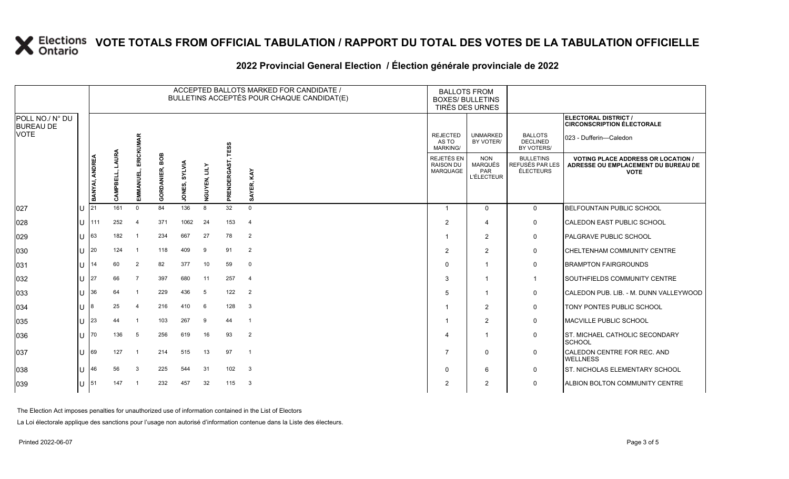|     |    |                                                                                                          |                |                   |               |               |              |                |                                                                                                 |                                                          |                                                                   | ELECTORAL DISTRICT /<br><b>CIRCONSCRIPTION ÉLECTORALE</b>                                       |
|-----|----|----------------------------------------------------------------------------------------------------------|----------------|-------------------|---------------|---------------|--------------|----------------|-------------------------------------------------------------------------------------------------|----------------------------------------------------------|-------------------------------------------------------------------|-------------------------------------------------------------------------------------------------|
|     |    |                                                                                                          | <b>MAR</b>     |                   |               |               |              |                | <b>REJECTED</b><br>AS TO<br>MARKING/                                                            | <b>UNMARKED</b><br>BY VOTER/                             | <b>BALLOTS</b><br><b>DECLINED</b><br>BY VOTERS/                   | 023 - Dufferin—Caledon                                                                          |
|     |    |                                                                                                          | EMMANUEI       | <b>GORDANIER,</b> | <b>SYLVIA</b> | ZП<br>NGUYEN, | PRENDERGAST, | KAY            | REJETÉS EN<br><b>RAISON DU</b><br><b>MARQUAGE</b>                                               | <b>NON</b><br><b>MARQUÉS</b><br>PAR<br><b>L'ÉLECTEUR</b> | <b>BULLETINS</b><br>REFUSÉS PAR LES<br><b>ÉLECTEURS</b>           | <b>VOTING PLACE ADDRESS OR LOCATION /</b><br>ADRESSE OU EMPLACEMENT DU BUREAU DE<br><b>VOTE</b> |
| IU  |    | 161                                                                                                      | $\Omega$       | 84                | 136           | 8             | 32           | $\Omega$       | -1                                                                                              | $\Omega$                                                 | $\mathbf 0$                                                       | <b>BELFOUNTAIN PUBLIC SCHOOL</b>                                                                |
| IU  |    | 252                                                                                                      | $\overline{4}$ | 371               | 1062          | 24            | 153          | $\overline{4}$ | 2                                                                                               | $\overline{4}$                                           | 0                                                                 | <b>CALEDON EAST PUBLIC SCHOOL</b>                                                               |
| IU. |    | 182                                                                                                      | -1             | 234               | 667           | 27            | 78           | 2              |                                                                                                 | $\overline{2}$                                           | 0                                                                 | PALGRAVE PUBLIC SCHOOL                                                                          |
| IU  |    | 124                                                                                                      | -1             | 118               | 409           | 9             | 91           | 2              | 2                                                                                               | $\overline{2}$                                           | 0                                                                 | <b>CHELTENHAM COMMUNITY CENTRE</b>                                                              |
| IU. | 14 | 60                                                                                                       | $\overline{2}$ | 82                | 377           | 10            | 59           | $\mathbf 0$    | $\Omega$                                                                                        | $\overline{\mathbf{1}}$                                  | 0                                                                 | <b>BRAMPTON FAIRGROUNDS</b>                                                                     |
| IU  |    | 66                                                                                                       | $\overline{7}$ | 397               | 680           | 11            | 257          | $\overline{4}$ | 3                                                                                               |                                                          | $\mathbf{1}$                                                      | <b>SOUTHFIELDS COMMUNITY CENTRE</b>                                                             |
| IU  | 36 | 64                                                                                                       | -1             | 229               | 436           | 5             | 122          | $\overline{2}$ | 5                                                                                               | -1                                                       | 0                                                                 | CALEDON PUB. LIB. - M. DUNN VALLEYWOOD                                                          |
| IU  |    | 25                                                                                                       | $\overline{4}$ | 216               | 410           | 6             | 128          | 3              |                                                                                                 | $\overline{2}$                                           | 0                                                                 | TONY PONTES PUBLIC SCHOOL                                                                       |
| Ш   |    | 44                                                                                                       | -1             | 103               | 267           | 9             | 44           | $\overline{1}$ | -1                                                                                              | 2                                                        | 0                                                                 | MACVILLE PUBLIC SCHOOL                                                                          |
| IU. |    | 136                                                                                                      | 5              | 256               | 619           | 16            | 93           | $\overline{2}$ | 4                                                                                               |                                                          | 0                                                                 | <b>ST. MICHAEL CATHOLIC SECONDARY</b><br><b>SCHOOL</b>                                          |
| IU  |    | 127                                                                                                      | -1             | 214               | 515           | 13            | 97           | -1             | 7                                                                                               | $\Omega$                                                 | 0                                                                 | CALEDON CENTRE FOR REC. AND<br><b>WELLNESS</b>                                                  |
| IU  |    | 56                                                                                                       | 3              | 225               | 544           | 31            | 102          | 3              | $\Omega$                                                                                        | 6                                                        | 0                                                                 | <b>ST. NICHOLAS ELEMENTARY SCHOOL</b>                                                           |
| IU  |    | 147                                                                                                      | $\overline{1}$ | 232               | 457           | 32            | 115          | 3              | 2                                                                                               | $\overline{2}$                                           | 0                                                                 | <b>ALBION BOLTON COMMUNITY CENTRE</b>                                                           |
|     |    | BANYAI, ANDREA<br>I <sub>21</sub><br>1111<br> 63 <br>120<br>127<br>18<br> 23<br>170<br>169<br>146<br>151 | g              | ERICKUI           | BOB           | JONES,        |              | TESS           | ACCEPTED BALLOTS MARKED FOR CANDIDATE /<br>BULLETINS ACCEPTÉS POUR CHAQUE CANDIDAT(E)<br>SAYER, |                                                          | <b>BALLOTS FROM</b><br><b>BOXES/ BULLETINS</b><br>TIRÉS DES URNES |                                                                                                 |

### **2022 Provincial General Election / Élection générale provinciale de 2022**

The Election Act imposes penalties for unauthorized use of information contained in the List of Electors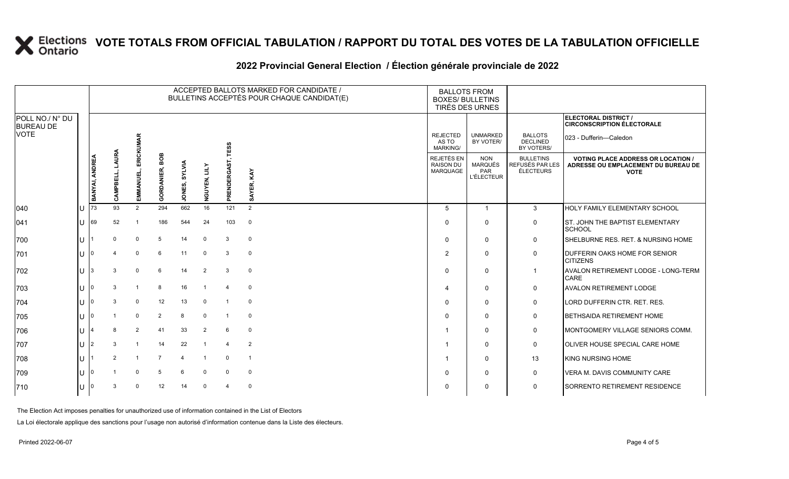|                                     |       |                |                               |                      |                          |               |                |                         | ACCEPTED BALLOTS MARKED FOR CANDIDATE /<br>BULLETINS ACCEPTÉS POUR CHAQUE CANDIDAT(E) |                                             | <b>BALLOTS FROM</b><br><b>BOXES/ BULLETINS</b><br>TIRÉS DES URNES |                                                         |                                                                                                 |
|-------------------------------------|-------|----------------|-------------------------------|----------------------|--------------------------|---------------|----------------|-------------------------|---------------------------------------------------------------------------------------|---------------------------------------------|-------------------------------------------------------------------|---------------------------------------------------------|-------------------------------------------------------------------------------------------------|
| POLL NO./ N° DU<br><b>BUREAU DE</b> |       |                |                               |                      |                          |               |                |                         |                                                                                       |                                             |                                                                   |                                                         | ELECTORAL DISTRICT /<br><b>CIRCONSCRIPTION ÉLECTORALE</b>                                       |
| VOTE                                |       |                |                               | <b>MAR</b>           |                          |               |                | <b>TESS</b>             |                                                                                       | <b>REJECTED</b><br>AS TO<br><b>MARKING/</b> | <b>UNMARKED</b><br>BY VOTER/                                      | <b>BALLOTS</b><br><b>DECLINED</b><br>BY VOTERS/         | 023 - Dufferin-Caledon                                                                          |
|                                     |       | BANYAI, ANDREA | LAURA<br>긊<br>쮠<br><b>EAM</b> | ERICKUI<br>EMMANUEL, | BOB<br><b>GORDANIER,</b> | JONES, SYLVIA | Ě<br>NGUYEN,   | PRENDERGAST,            | KAY<br>SAYER,                                                                         | REJETÉS EN<br><b>RAISON DU</b><br>MARQUAGE  | <b>NON</b><br><b>MARQUÉS</b><br><b>PAR</b><br><b>L'ÉLECTEUR</b>   | <b>BULLETINS</b><br><b>REFUSÉS PAR LES</b><br>ÉLECTEURS | <b>VOTING PLACE ADDRESS OR LOCATION /</b><br>ADRESSE OU EMPLACEMENT DU BUREAU DE<br><b>VOTE</b> |
| 040                                 | U     | 173            | 93                            | 2                    | 294                      | 662           | 16             | 121                     | 2                                                                                     | -5                                          | 1                                                                 | 3                                                       | <b>HOLY FAMILY ELEMENTARY SCHOOL</b>                                                            |
| 041                                 | IU    | 69             | 52                            | -1                   | 186                      | 544           | 24             | 103                     | $\mathbf 0$                                                                           | $\Omega$                                    | $\mathbf{0}$                                                      | 0                                                       | ST. JOHN THE BAPTIST ELEMENTARY<br><b>SCHOOL</b>                                                |
| 700                                 | U     |                | $\Omega$                      | $\mathbf 0$          | 5                        | 14            | $\mathbf 0$    | 3                       | $\mathbf 0$                                                                           | $\Omega$                                    | 0                                                                 | 0                                                       | <b>I</b> SHELBURNE RES. RET. & NURSING HOME                                                     |
| 701                                 | U     | ı∩             |                               | $\mathbf 0$          | 6                        | 11            | $\mathbf 0$    | $\mathbf{3}$            | $\mathbf 0$                                                                           | 2                                           | 0                                                                 | 0                                                       | <b>IDUFFERIN OAKS HOME FOR SENIOR</b><br><b>CITIZENS</b>                                        |
| 702                                 | ПT    | 13             | 3                             | $\mathbf 0$          | 6                        | 14            | $\overline{2}$ | 3                       | $\mathbf 0$                                                                           |                                             | $\mathbf{0}$                                                      | -1                                                      | <b>AVALON RETIREMENT LODGE - LONG-TERM</b><br><b>CARE</b>                                       |
| 703                                 | Ш     | 10             | 3                             | $\overline{1}$       | 8                        | 16            |                | $\overline{\mathbf{4}}$ | $\mathbf 0$                                                                           | 4                                           | $\mathbf{0}$                                                      | $\mathbf 0$                                             | <b>AVALON RETIREMENT LODGE</b>                                                                  |
| 704                                 | 1 I J |                | 3                             | $\mathbf 0$          | 12                       | 13            | $\mathbf 0$    | $\overline{1}$          | $\mathbf 0$                                                                           | $\Omega$                                    | $\mathbf{0}$                                                      | 0                                                       | LORD DUFFERIN CTR. RET. RES.                                                                    |
| 705                                 | lU.   | ı∩             |                               | $\mathbf 0$          | 2                        | 8             | $\mathbf 0$    |                         | $\mathbf 0$                                                                           |                                             | 0                                                                 | 0                                                       | <b>BETHSAIDA RETIREMENT HOME</b>                                                                |
| 706                                 | U     |                | 8                             | 2                    | 41                       | 33            | 2              | 6                       | $\mathbf 0$                                                                           |                                             | $\Omega$                                                          | 0                                                       | MONTGOMERY VILLAGE SENIORS COMM.                                                                |
| 707                                 | U     | 12             | 3                             | $\overline{1}$       | 14                       | 22            |                | $\overline{4}$          | $\overline{2}$                                                                        |                                             | $\mathbf{0}$                                                      | $\mathbf 0$                                             | <b>I</b> OLIVER HOUSE SPECIAL CARE HOME                                                         |
| 708                                 | ЦJ    |                | 2                             | $\overline{1}$       | $\overline{7}$           | 4             |                | $\mathbf 0$             | $\overline{1}$                                                                        |                                             | $\mathbf{0}$                                                      | 13                                                      | KING NURSING HOME                                                                               |
| 709                                 | Ш     |                |                               | $\Omega$             | 5                        | 6             | 0              | $\mathbf 0$             | $\mathbf 0$                                                                           | $\Omega$                                    | 0                                                                 | 0                                                       | <b>VERA M. DAVIS COMMUNITY CARE</b>                                                             |
| 710                                 | ΙU    | 10             | 3                             | $\Omega$             | 12                       | 14            | $\mathbf 0$    | $\overline{4}$          | $\mathbf 0$                                                                           | $\Omega$                                    | 0                                                                 | 0                                                       | <b>SORRENTO RETIREMENT RESIDENCE</b>                                                            |

### **2022 Provincial General Election / Élection générale provinciale de 2022**

The Election Act imposes penalties for unauthorized use of information contained in the List of Electors